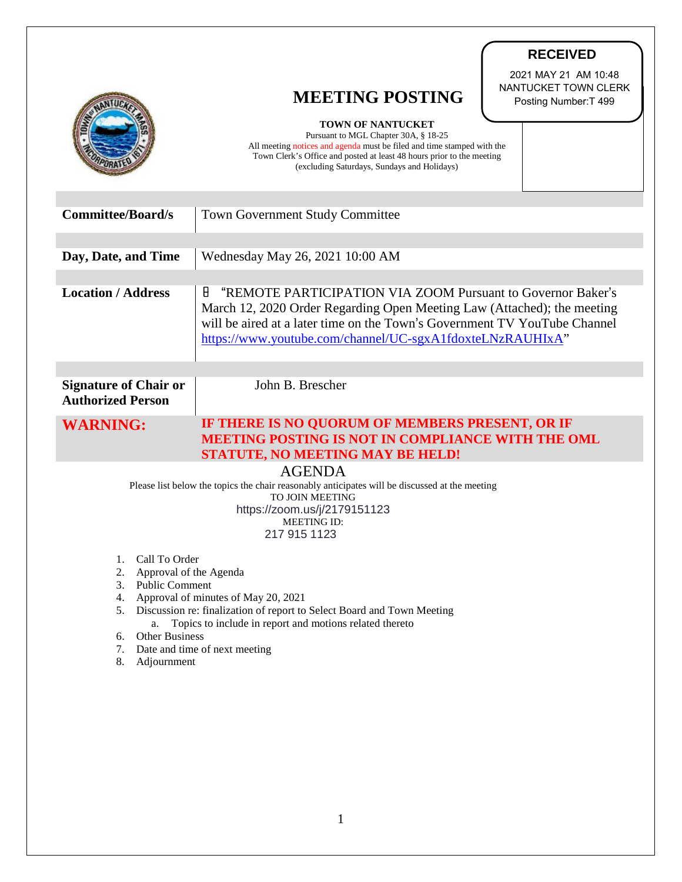|                                                                                                                          | <b>RECEIVED</b>                                                                                                                                                                                                                                                                       |
|--------------------------------------------------------------------------------------------------------------------------|---------------------------------------------------------------------------------------------------------------------------------------------------------------------------------------------------------------------------------------------------------------------------------------|
|                                                                                                                          | 2021 MAY 21 AM 10:48<br>NANTUCKET TOWN CLERK<br><b>MEETING POSTING</b><br>Posting Number: T 499<br><b>TOWN OF NANTUCKET</b>                                                                                                                                                           |
|                                                                                                                          | Pursuant to MGL Chapter 30A, § 18-25<br>All meeting notices and agenda must be filed and time stamped with the<br>Town Clerk's Office and posted at least 48 hours prior to the meeting<br>(excluding Saturdays, Sundays and Holidays)                                                |
| <b>Committee/Board/s</b>                                                                                                 | <b>Town Government Study Committee</b>                                                                                                                                                                                                                                                |
| Day, Date, and Time                                                                                                      | Wednesday May 26, 2021 10:00 AM                                                                                                                                                                                                                                                       |
| <b>Location / Address</b>                                                                                                | "REMOTE PARTICIPATION VIA ZOOM Pursuant to Governor Baker's<br>Н<br>March 12, 2020 Order Regarding Open Meeting Law (Attached); the meeting<br>will be aired at a later time on the Town's Government TV YouTube Channel<br>https://www.youtube.com/channel/UC-sgxA1fdoxteLNzRAUHIxA" |
| <b>Signature of Chair or</b><br><b>Authorized Person</b>                                                                 | John B. Brescher                                                                                                                                                                                                                                                                      |
| <b>WARNING:</b>                                                                                                          | IF THERE IS NO QUORUM OF MEMBERS PRESENT, OR IF<br><b>MEETING POSTING IS NOT IN COMPLIANCE WITH THE OML</b><br>STATUTE, NO MEETING MAY BE HELD!                                                                                                                                       |
| <b>AGENDA</b>                                                                                                            |                                                                                                                                                                                                                                                                                       |
| Please list below the topics the chair reasonably anticipates will be discussed at the meeting<br><b>TO JOIN MEETING</b> |                                                                                                                                                                                                                                                                                       |
| https://zoom.us/j/2179151123<br><b>MEETING ID:</b>                                                                       |                                                                                                                                                                                                                                                                                       |
|                                                                                                                          | 217 915 1123                                                                                                                                                                                                                                                                          |
| Call To Order<br>1.                                                                                                      |                                                                                                                                                                                                                                                                                       |
| 2.<br>Approval of the Agenda<br><b>Public Comment</b><br>3.                                                              |                                                                                                                                                                                                                                                                                       |
| Approval of minutes of May 20, 2021<br>4.                                                                                |                                                                                                                                                                                                                                                                                       |
| Discussion re: finalization of report to Select Board and Town Meeting<br>5.                                             |                                                                                                                                                                                                                                                                                       |
| Topics to include in report and motions related thereto<br>a.<br>Other Business<br>6.                                    |                                                                                                                                                                                                                                                                                       |
| 7. Date and time of next meeting                                                                                         |                                                                                                                                                                                                                                                                                       |
| 8.<br>Adjournment                                                                                                        |                                                                                                                                                                                                                                                                                       |
|                                                                                                                          |                                                                                                                                                                                                                                                                                       |

7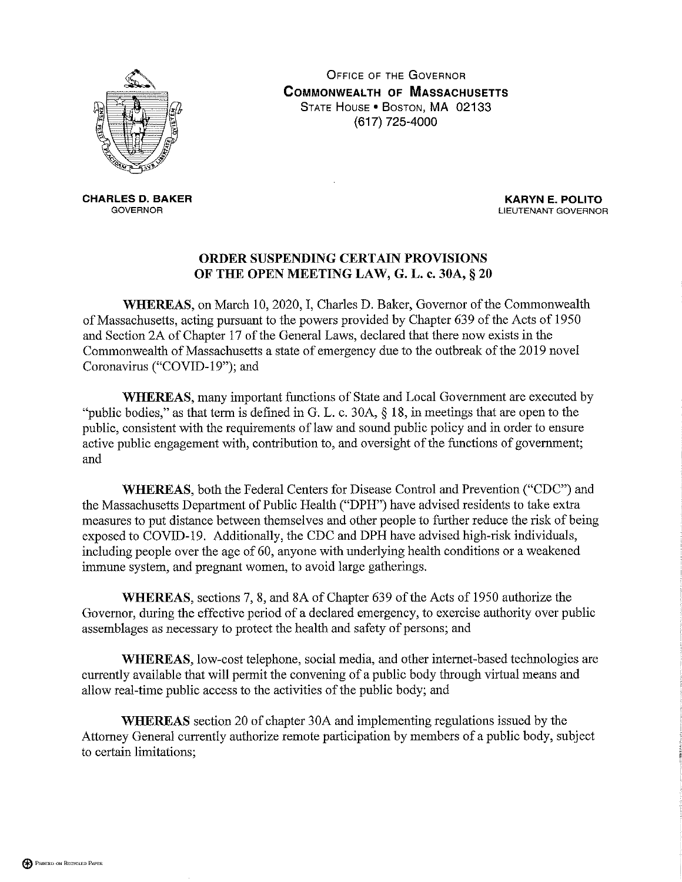

**OFFICE OF THE GOVERNOR COMMONWEALTH OF MASSACHUSETTS** STATE HOUSE . BOSTON, MA 02133 (617) 725-4000

**CHARLES D. BAKER GOVERNOR** 

**KARYN E. POLITO** LIEUTENANT GOVERNOR

## ORDER SUSPENDING CERTAIN PROVISIONS OF THE OPEN MEETING LAW, G. L. c. 30A, § 20

WHEREAS, on March 10, 2020, I, Charles D. Baker, Governor of the Commonwealth of Massachusetts, acting pursuant to the powers provided by Chapter 639 of the Acts of 1950 and Section 2A of Chapter 17 of the General Laws, declared that there now exists in the Commonwealth of Massachusetts a state of emergency due to the outbreak of the 2019 novel Coronavirus ("COVID-19"); and

**WHEREAS**, many important functions of State and Local Government are executed by "public bodies," as that term is defined in G. L. c. 30A,  $\S$  18, in meetings that are open to the public, consistent with the requirements of law and sound public policy and in order to ensure active public engagement with, contribution to, and oversight of the functions of government; and

WHEREAS, both the Federal Centers for Disease Control and Prevention ("CDC") and the Massachusetts Department of Public Health ("DPH") have advised residents to take extra measures to put distance between themselves and other people to further reduce the risk of being exposed to COVID-19. Additionally, the CDC and DPH have advised high-risk individuals, including people over the age of 60, anyone with underlying health conditions or a weakened immune system, and pregnant women, to avoid large gatherings.

WHEREAS, sections 7, 8, and 8A of Chapter 639 of the Acts of 1950 authorize the Governor, during the effective period of a declared emergency, to exercise authority over public assemblages as necessary to protect the health and safety of persons; and

WHEREAS, low-cost telephone, social media, and other internet-based technologies are currently available that will permit the convening of a public body through virtual means and allow real-time public access to the activities of the public body; and

**WHEREAS** section 20 of chapter 30A and implementing regulations issued by the Attorney General currently authorize remote participation by members of a public body, subject to certain limitations;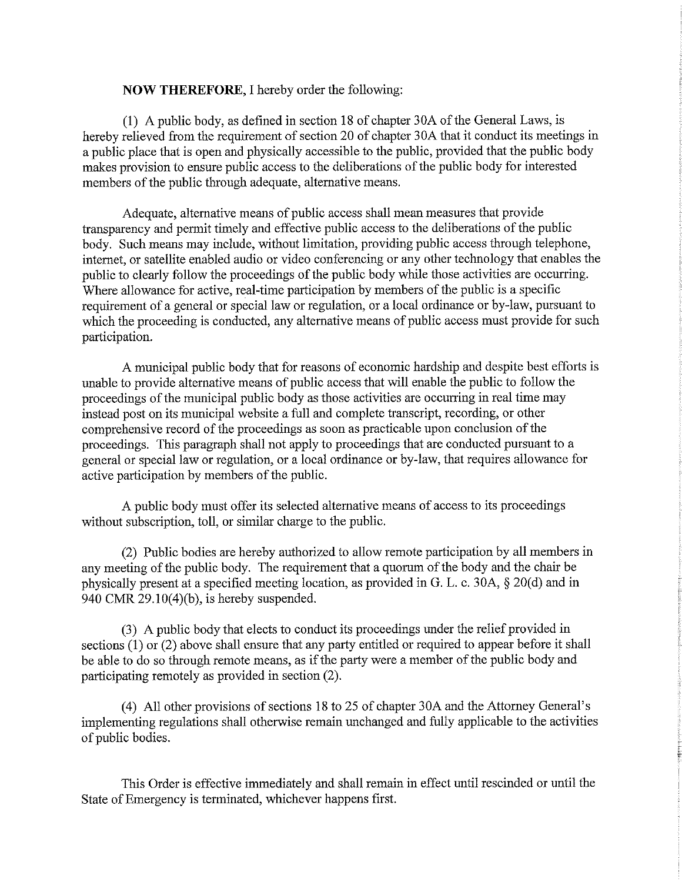## **NOW THEREFORE, I hereby order the following:**

(1) A public body, as defined in section 18 of chapter 30A of the General Laws, is hereby relieved from the requirement of section 20 of chapter 30A that it conduct its meetings in a public place that is open and physically accessible to the public, provided that the public body makes provision to ensure public access to the deliberations of the public body for interested members of the public through adequate, alternative means.

Adequate, alternative means of public access shall mean measures that provide transparency and permit timely and effective public access to the deliberations of the public body. Such means may include, without limitation, providing public access through telephone, internet, or satellite enabled audio or video conferencing or any other technology that enables the public to clearly follow the proceedings of the public body while those activities are occurring. Where allowance for active, real-time participation by members of the public is a specific requirement of a general or special law or regulation, or a local ordinance or by-law, pursuant to which the proceeding is conducted, any alternative means of public access must provide for such participation.

A municipal public body that for reasons of economic hardship and despite best efforts is unable to provide alternative means of public access that will enable the public to follow the proceedings of the municipal public body as those activities are occurring in real time may instead post on its municipal website a full and complete transcript, recording, or other comprehensive record of the proceedings as soon as practicable upon conclusion of the proceedings. This paragraph shall not apply to proceedings that are conducted pursuant to a general or special law or regulation, or a local ordinance or by-law, that requires allowance for active participation by members of the public.

A public body must offer its selected alternative means of access to its proceedings without subscription, toll, or similar charge to the public.

(2) Public bodies are hereby authorized to allow remote participation by all members in any meeting of the public body. The requirement that a quorum of the body and the chair be physically present at a specified meeting location, as provided in G. L. c. 30A, § 20(d) and in 940 CMR  $29.10(4)(b)$ , is hereby suspended.

(3) A public body that elects to conduct its proceedings under the relief provided in sections  $(1)$  or  $(2)$  above shall ensure that any party entitled or required to appear before it shall be able to do so through remote means, as if the party were a member of the public body and participating remotely as provided in section (2).

(4) All other provisions of sections 18 to 25 of chapter 30A and the Attorney General's implementing regulations shall otherwise remain unchanged and fully applicable to the activities of public bodies.

This Order is effective immediately and shall remain in effect until rescinded or until the State of Emergency is terminated, whichever happens first.